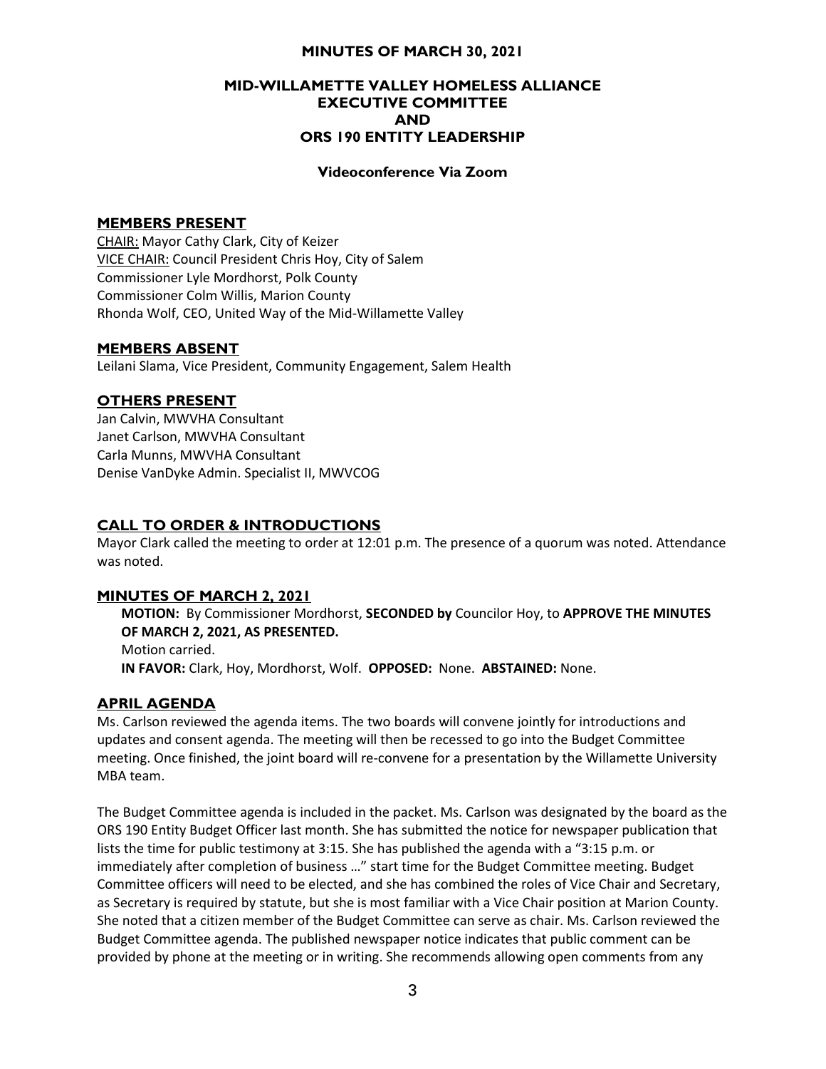# MINUTES OF MARCH 30, 2021

## MID-WILLAMETTE VALLEY HOMELESS ALLIANCE EXECUTIVE COMMITTEE AND ORS 190 ENTITY LEADERSHIP

## Videoconference Via Zoom

# MEMBERS PRESENT

CHAIR: Mayor Cathy Clark, City of Keizer VICE CHAIR: Council President Chris Hoy, City of Salem Commissioner Lyle Mordhorst, Polk County Commissioner Colm Willis, Marion County Rhonda Wolf, CEO, United Way of the Mid-Willamette Valley

## MEMBERS ABSENT

Leilani Slama, Vice President, Community Engagement, Salem Health

## OTHERS PRESENT

Jan Calvin, MWVHA Consultant Janet Carlson, MWVHA Consultant Carla Munns, MWVHA Consultant Denise VanDyke Admin. Specialist II, MWVCOG

## CALL TO ORDER & INTRODUCTIONS

Mayor Clark called the meeting to order at 12:01 p.m. The presence of a quorum was noted. Attendance was noted.

#### MINUTES OF MARCH 2, 2021

MOTION: By Commissioner Mordhorst, SECONDED by Councilor Hoy, to APPROVE THE MINUTES OF MARCH 2, 2021, AS PRESENTED. Motion carried. IN FAVOR: Clark, Hoy, Mordhorst, Wolf. OPPOSED: None. ABSTAINED: None.

#### APRIL AGENDA

Ms. Carlson reviewed the agenda items. The two boards will convene jointly for introductions and updates and consent agenda. The meeting will then be recessed to go into the Budget Committee meeting. Once finished, the joint board will re-convene for a presentation by the Willamette University MBA team.

The Budget Committee agenda is included in the packet. Ms. Carlson was designated by the board as the ORS 190 Entity Budget Officer last month. She has submitted the notice for newspaper publication that lists the time for public testimony at 3:15. She has published the agenda with a "3:15 p.m. or immediately after completion of business …" start time for the Budget Committee meeting. Budget Committee officers will need to be elected, and she has combined the roles of Vice Chair and Secretary, as Secretary is required by statute, but she is most familiar with a Vice Chair position at Marion County. She noted that a citizen member of the Budget Committee can serve as chair. Ms. Carlson reviewed the Budget Committee agenda. The published newspaper notice indicates that public comment can be provided by phone at the meeting or in writing. She recommends allowing open comments from any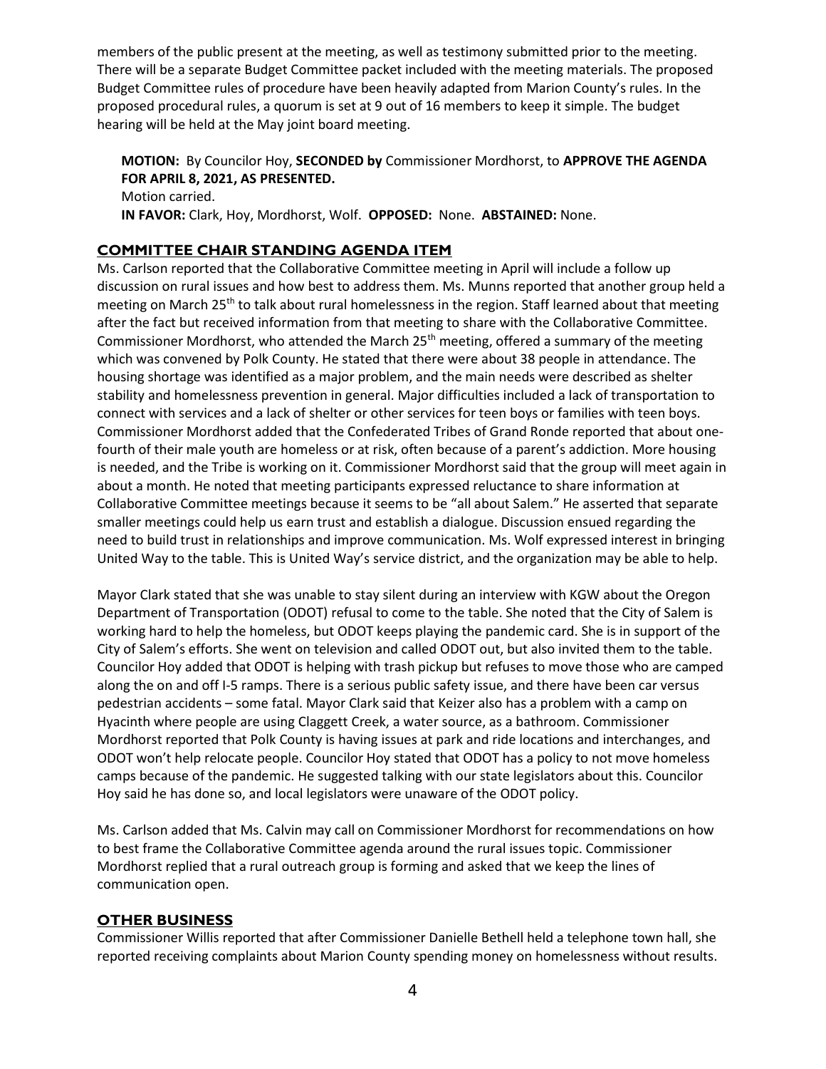members of the public present at the meeting, as well as testimony submitted prior to the meeting. There will be a separate Budget Committee packet included with the meeting materials. The proposed Budget Committee rules of procedure have been heavily adapted from Marion County's rules. In the proposed procedural rules, a quorum is set at 9 out of 16 members to keep it simple. The budget hearing will be held at the May joint board meeting.

MOTION: By Councilor Hoy, SECONDED by Commissioner Mordhorst, to APPROVE THE AGENDA FOR APRIL 8, 2021, AS PRESENTED. Motion carried. IN FAVOR: Clark, Hoy, Mordhorst, Wolf. OPPOSED: None. ABSTAINED: None.

# COMMITTEE CHAIR STANDING AGENDA ITEM

Ms. Carlson reported that the Collaborative Committee meeting in April will include a follow up discussion on rural issues and how best to address them. Ms. Munns reported that another group held a meeting on March 25<sup>th</sup> to talk about rural homelessness in the region. Staff learned about that meeting after the fact but received information from that meeting to share with the Collaborative Committee. Commissioner Mordhorst, who attended the March 25<sup>th</sup> meeting, offered a summary of the meeting which was convened by Polk County. He stated that there were about 38 people in attendance. The housing shortage was identified as a major problem, and the main needs were described as shelter stability and homelessness prevention in general. Major difficulties included a lack of transportation to connect with services and a lack of shelter or other services for teen boys or families with teen boys. Commissioner Mordhorst added that the Confederated Tribes of Grand Ronde reported that about onefourth of their male youth are homeless or at risk, often because of a parent's addiction. More housing is needed, and the Tribe is working on it. Commissioner Mordhorst said that the group will meet again in about a month. He noted that meeting participants expressed reluctance to share information at Collaborative Committee meetings because it seems to be "all about Salem." He asserted that separate smaller meetings could help us earn trust and establish a dialogue. Discussion ensued regarding the need to build trust in relationships and improve communication. Ms. Wolf expressed interest in bringing United Way to the table. This is United Way's service district, and the organization may be able to help.

Mayor Clark stated that she was unable to stay silent during an interview with KGW about the Oregon Department of Transportation (ODOT) refusal to come to the table. She noted that the City of Salem is working hard to help the homeless, but ODOT keeps playing the pandemic card. She is in support of the City of Salem's efforts. She went on television and called ODOT out, but also invited them to the table. Councilor Hoy added that ODOT is helping with trash pickup but refuses to move those who are camped along the on and off I-5 ramps. There is a serious public safety issue, and there have been car versus pedestrian accidents – some fatal. Mayor Clark said that Keizer also has a problem with a camp on Hyacinth where people are using Claggett Creek, a water source, as a bathroom. Commissioner Mordhorst reported that Polk County is having issues at park and ride locations and interchanges, and ODOT won't help relocate people. Councilor Hoy stated that ODOT has a policy to not move homeless camps because of the pandemic. He suggested talking with our state legislators about this. Councilor Hoy said he has done so, and local legislators were unaware of the ODOT policy.

Ms. Carlson added that Ms. Calvin may call on Commissioner Mordhorst for recommendations on how to best frame the Collaborative Committee agenda around the rural issues topic. Commissioner Mordhorst replied that a rural outreach group is forming and asked that we keep the lines of communication open.

# OTHER BUSINESS

Commissioner Willis reported that after Commissioner Danielle Bethell held a telephone town hall, she reported receiving complaints about Marion County spending money on homelessness without results.